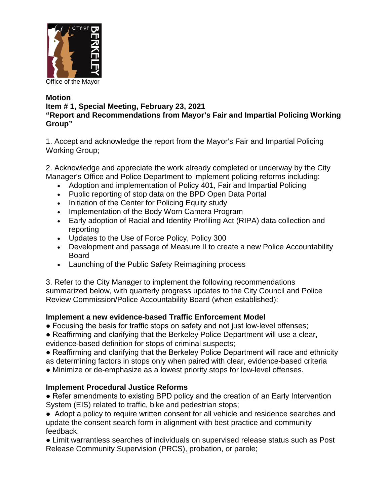

## **Motion**

## **Item # 1, Special Meeting, February 23, 2021**

**"Report and Recommendations from Mayor's Fair and Impartial Policing Working Group"**

1. Accept and acknowledge the report from the Mayor's Fair and Impartial Policing Working Group;

2. Acknowledge and appreciate the work already completed or underway by the City Manager's Office and Police Department to implement policing reforms including:

- Adoption and implementation of Policy 401, Fair and Impartial Policing
- Public reporting of stop data on the BPD Open Data Portal
- Initiation of the Center for Policing Equity study
- Implementation of the Body Worn Camera Program
- Early adoption of Racial and Identity Profiling Act (RIPA) data collection and reporting
- Updates to the Use of Force Policy, Policy 300
- Development and passage of Measure II to create a new Police Accountability Board
- Launching of the Public Safety Reimagining process

3. Refer to the City Manager to implement the following recommendations summarized below, with quarterly progress updates to the City Council and Police Review Commission/Police Accountability Board (when established):

## **Implement a new evidence-based Traffic Enforcement Model**

- Focusing the basis for traffic stops on safety and not just low-level offenses;
- Reaffirming and clarifying that the Berkeley Police Department will use a clear, evidence-based definition for stops of criminal suspects;
- Reaffirming and clarifying that the Berkeley Police Department will race and ethnicity as determining factors in stops only when paired with clear, evidence-based criteria
- Minimize or de-emphasize as a lowest priority stops for low-level offenses.

## **Implement Procedural Justice Reforms**

● Refer amendments to existing BPD policy and the creation of an Early Intervention System (EIS) related to traffic, bike and pedestrian stops;

● Adopt a policy to require written consent for all vehicle and residence searches and update the consent search form in alignment with best practice and community feedback;

● Limit warrantless searches of individuals on supervised release status such as Post Release Community Supervision (PRCS), probation, or parole;